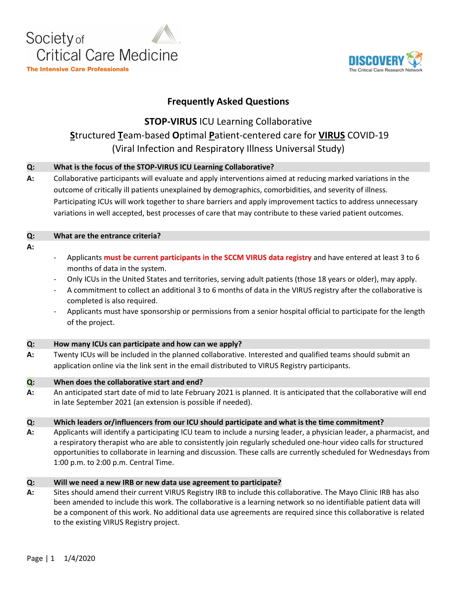



## **Frequently Asked Questions**

# **STOP-VIRUS** ICU Learning Collaborative **S**tructured **T**eam-based **O**ptimal **P**atient-centered care for **VIRUS** COVID-19 (Viral Infection and Respiratory Illness Universal Study)

### **Q: What is the focus of the STOP-VIRUS ICU Learning Collaborative?**

**A:** Collaborative participants will evaluate and apply interventions aimed at reducing marked variations in the outcome of critically ill patients unexplained by demographics, comorbidities, and severity of illness. Participating ICUs will work together to share barriers and apply improvement tactics to address unnecessary variations in well accepted, best processes of care that may contribute to these varied patient outcomes.

| O: | What are the entrance criteria?                                                               |
|----|-----------------------------------------------------------------------------------------------|
| A: |                                                                                               |
|    | Applicants must be surrent participants in the SCCMA VIDLIS data registry and baye entered at |

- Applicants **must be current participants in the SCCM VIRUS data registry** and have entered at least 3 to 6 months of data in the system.
- Only ICUs in the United States and territories, serving adult patients (those 18 years or older), may apply.
- A commitment to collect an additional 3 to 6 months of data in the VIRUS registry after the collaborative is completed is also required.
- Applicants must have sponsorship or permissions from a senior hospital official to participate for the length of the project.

### **Q: How many ICUs can participate and how can we apply?**

**A:** Twenty ICUs will be included in the planned collaborative. Interested and qualified teams should submit an application online via the link sent in the email distributed to VIRUS Registry participants.

### **Q: When does the collaborative start and end?**

**A:** An anticipated start date of mid to late February 2021 is planned. It is anticipated that the collaborative will end in late September 2021 (an extension is possible if needed).

### **Q: Which leaders or/influencers from our ICU should participate and what is the time commitment?**

**A:** Applicants will identify a participating ICU team to include a nursing leader, a physician leader, a pharmacist, and a respiratory therapist who are able to consistently join regularly scheduled one-hour video calls for structured opportunities to collaborate in learning and discussion. These calls are currently scheduled for Wednesdays from 1:00 p.m. to 2:00 p.m. Central Time.

### **Q: Will we need a new IRB or new data use agreement to participate?**

**A:** Sites should amend their current VIRUS Registry IRB to include this collaborative. The Mayo Clinic IRB has also been amended to include this work. The collaborative is a learning network so no identifiable patient data will be a component of this work. No additional data use agreements are required since this collaborative is related to the existing VIRUS Registry project.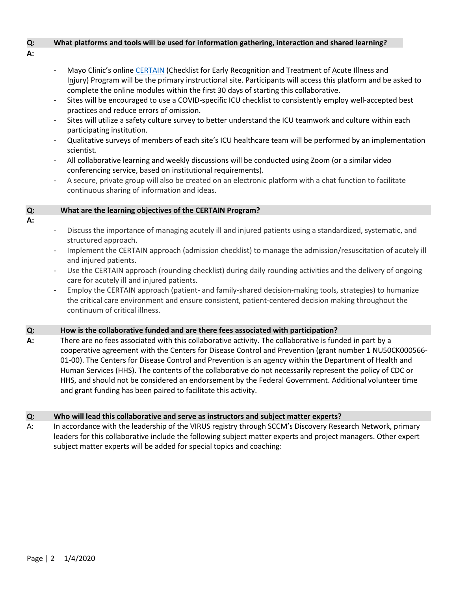### **Q: What platforms and tools will be used for information gathering, interaction and shared learning?**

- **A:**
- Mayo Clinic's online [CERTAIN](https://www.icertain.org/) (Checklist for Early Recognition and Treatment of Acute Illness and Injury) Program will be the primary instructional site. Participants will access this platform and be asked to complete the online modules within the first 30 days of starting this collaborative.
- Sites will be encouraged to use a COVID-specific ICU checklist to consistently employ well-accepted best practices and reduce errors of omission.
- Sites will utilize a safety culture survey to better understand the ICU teamwork and culture within each participating institution.
- Qualitative surveys of members of each site's ICU healthcare team will be performed by an implementation scientist.
- All collaborative learning and weekly discussions will be conducted using Zoom (or a similar video conferencing service, based on institutional requirements).
- A secure, private group will also be created on an electronic platform with a chat function to facilitate continuous sharing of information and ideas.

### **Q: What are the learning objectives of the CERTAIN Program?**

- **A:**
- Discuss the importance of managing acutely ill and injured patients using a standardized, systematic, and structured approach.
- Implement the CERTAIN approach (admission checklist) to manage the admission/resuscitation of acutely ill and injured patients.
- Use the CERTAIN approach (rounding checklist) during daily rounding activities and the delivery of ongoing care for acutely ill and injured patients.
- Employ the CERTAIN approach (patient- and family-shared decision-making tools, strategies) to humanize the critical care environment and ensure consistent, patient-centered decision making throughout the continuum of critical illness.

### **Q: How is the collaborative funded and are there fees associated with participation?**

**A:** There are no fees associated with this collaborative activity. The collaborative is funded in part by a cooperative agreement with the Centers for Disease Control and Prevention (grant number 1 NU50CK000566- 01-00). The Centers for Disease Control and Prevention is an agency within the Department of Health and Human Services (HHS). The contents of the collaborative do not necessarily represent the policy of CDC or HHS, and should not be considered an endorsement by the Federal Government. Additional volunteer time and grant funding has been paired to facilitate this activity.

### **Q: Who will lead this collaborative and serve as instructors and subject matter experts?**

A: In accordance with the leadership of the VIRUS registry through SCCM's Discovery Research Network, primary leaders for this collaborative include the following subject matter experts and project managers. Other expert subject matter experts will be added for special topics and coaching: